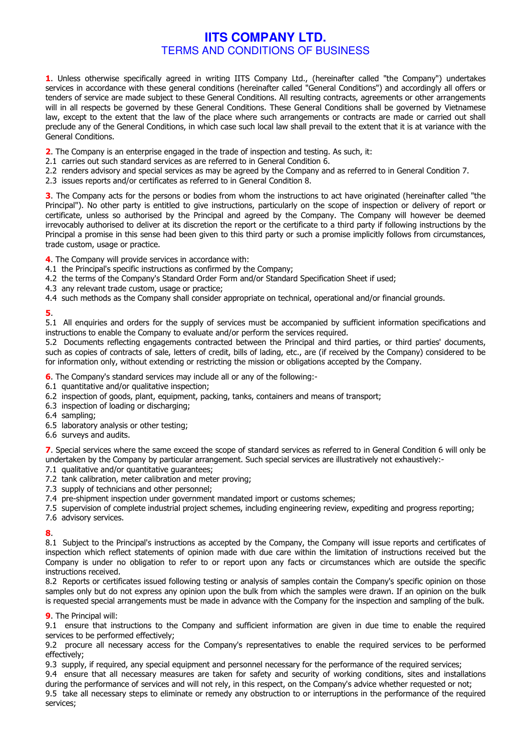# **IITS COMPANY LTD. TERMS AND CONDITIONS OF BUSINESS**

1. Unless otherwise specifically agreed in writing IITS Company Ltd., (hereinafter called "the Company") undertakes services in accordance with these general conditions (hereinafter called "General Conditions") and accordingly all offers or tenders of service are made subject to these General Conditions. All resulting contracts, agreements or other arrangements will in all respects be governed by these General Conditions. These General Conditions shall be governed by Vietnamese law, except to the extent that the law of the place where such arrangements or contracts are made or carried out shall preclude any of the General Conditions, in which case such local law shall prevail to the extent that it is at variance with the General Conditions.

2. The Company is an enterprise engaged in the trade of inspection and testing. As such, it:

- 2.1 carries out such standard services as are referred to in General Condition 6.
- 2.2 renders advisory and special services as may be agreed by the Company and as referred to in General Condition 7.
- 2.3 issues reports and/or certificates as referred to in General Condition 8.

3. The Company acts for the persons or bodies from whom the instructions to act have originated (hereinafter called "the Principal"). No other party is entitled to give instructions, particularly on the scope of inspection or delivery of report or certificate, unless so authorised by the Principal and agreed by the Company. The Company will however be deemed irrevocably authorised to deliver at its discretion the report or the certificate to a third party if following instructions by the Principal a promise in this sense had been given to this third party or such a promise implicitly follows from circumstances, trade custom, usage or practice.

4. The Company will provide services in accordance with:

- 4.1 the Principal's specific instructions as confirmed by the Company;
- 4.2 the terms of the Company's Standard Order Form and/or Standard Specification Sheet if used;
- 4.3 any relevant trade custom, usage or practice;
- 4.4 such methods as the Company shall consider appropriate on technical, operational and/or financial grounds.

5.

5.1 All enquiries and orders for the supply of services must be accompanied by sufficient information specifications and instructions to enable the Company to evaluate and/or perform the services required.

5.2 Documents reflecting engagements contracted between the Principal and third parties, or third parties' documents, such as copies of contracts of sale, letters of credit, bills of lading, etc., are (if received by the Company) considered to be for information only, without extending or restricting the mission or obligations accepted by the Company.

- 6. The Company's standard services may include all or any of the following:-
- 6.1 quantitative and/or qualitative inspection;
- 6.2 inspection of goods, plant, equipment, packing, tanks, containers and means of transport;
- 6.3 inspection of loading or discharging;
- 6.4 sampling;
- 6.5 laboratory analysis or other testing;
- 6.6 surveys and audits.

7. Special services where the same exceed the scope of standard services as referred to in General Condition 6 will only be undertaken by the Company by particular arrangement. Such special services are illustratively not exhaustively:-

- 7.1 qualitative and/or quantitative quarantees:
- 7.2 tank calibration, meter calibration and meter proving;
- 7.3 supply of technicians and other personnel:
- 7.4 pre-shipment inspection under government mandated import or customs schemes;
- 7.5 supervision of complete industrial project schemes, including engineering review, expediting and progress reporting;
- 7.6 advisory services.

## $\mathbf{R}$

8.1 Subject to the Principal's instructions as accepted by the Company, the Company will issue reports and certificates of inspection which reflect statements of opinion made with due care within the limitation of instructions received but the Company is under no obligation to refer to or report upon any facts or circumstances which are outside the specific instructions received.

8.2 Reports or certificates issued following testing or analysis of samples contain the Company's specific opinion on those samples only but do not express any opinion upon the bulk from which the samples were drawn. If an opinion on the bulk is requested special arrangements must be made in advance with the Company for the inspection and sampling of the bulk.

## **9.** The Principal will:

9.1 ensure that instructions to the Company and sufficient information are given in due time to enable the required services to be performed effectively;

9.2 procure all necessary access for the Company's representatives to enable the required services to be performed effectively:

9.3 supply, if required, any special equipment and personnel necessary for the performance of the required services;

9.4 ensure that all necessary measures are taken for safety and security of working conditions, sites and installations during the performance of services and will not rely, in this respect, on the Company's advice whether requested or not;

9.5 take all necessary steps to eliminate or remedy any obstruction to or interruptions in the performance of the required services;